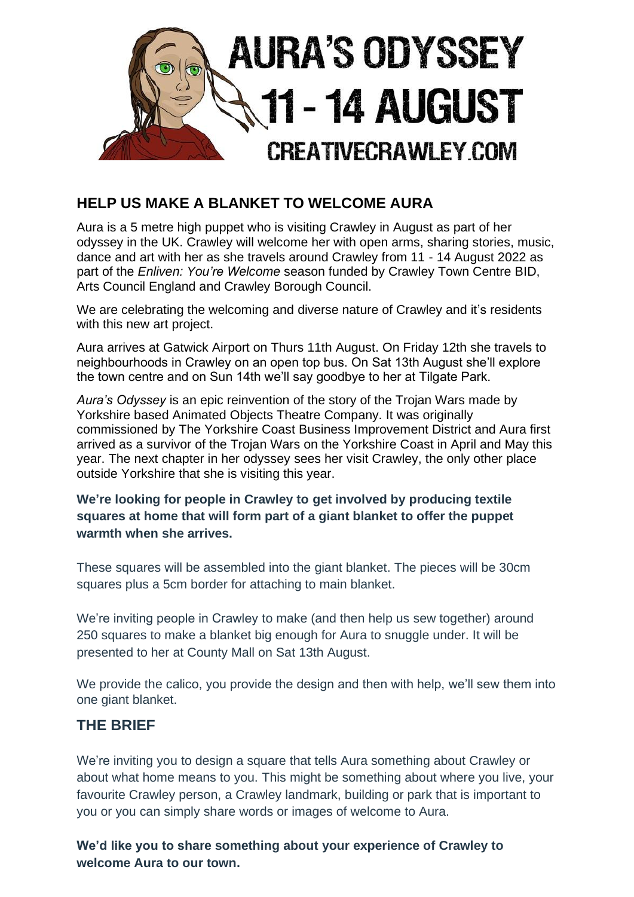

## **HELP US MAKE A BLANKET TO WELCOME AURA**

Aura is a 5 metre high puppet who is visiting Crawley in August as part of her odyssey in the UK. Crawley will welcome her with open arms, sharing stories, music, dance and art with her as she travels around Crawley from 11 - 14 August 2022 as part of the *Enliven: You're Welcome* season funded by Crawley Town Centre BID, Arts Council England and Crawley Borough Council.

We are celebrating the welcoming and diverse nature of Crawley and it's residents with this new art project.

Aura arrives at Gatwick Airport on Thurs 11th August. On Friday 12th she travels to neighbourhoods in Crawley on an open top bus. On Sat 13th August she'll explore the town centre and on Sun 14th we'll say goodbye to her at Tilgate Park.

*Aura's Odyssey* is an epic reinvention of the story of the Trojan Wars made by Yorkshire based Animated Objects Theatre Company. It was originally commissioned by The Yorkshire Coast Business Improvement District and Aura first arrived as a survivor of the Trojan Wars on the Yorkshire Coast in April and May this year. The next chapter in her odyssey sees her visit Crawley, the only other place outside Yorkshire that she is visiting this year.

**We're looking for people in Crawley to get involved by producing textile squares at home that will form part of a giant blanket to offer the puppet warmth when she arrives.**

These squares will be assembled into the giant blanket. The pieces will be 30cm squares plus a 5cm border for attaching to main blanket.

We're inviting people in Crawley to make (and then help us sew together) around 250 squares to make a blanket big enough for Aura to snuggle under. It will be presented to her at County Mall on Sat 13th August.

We provide the calico, you provide the design and then with help, we'll sew them into one giant blanket.

## **THE BRIEF**

We're inviting you to design a square that tells Aura something about Crawley or about what home means to you. This might be something about where you live, your favourite Crawley person, a Crawley landmark, building or park that is important to you or you can simply share words or images of welcome to Aura.

**We'd like you to share something about your experience of Crawley to welcome Aura to our town.**